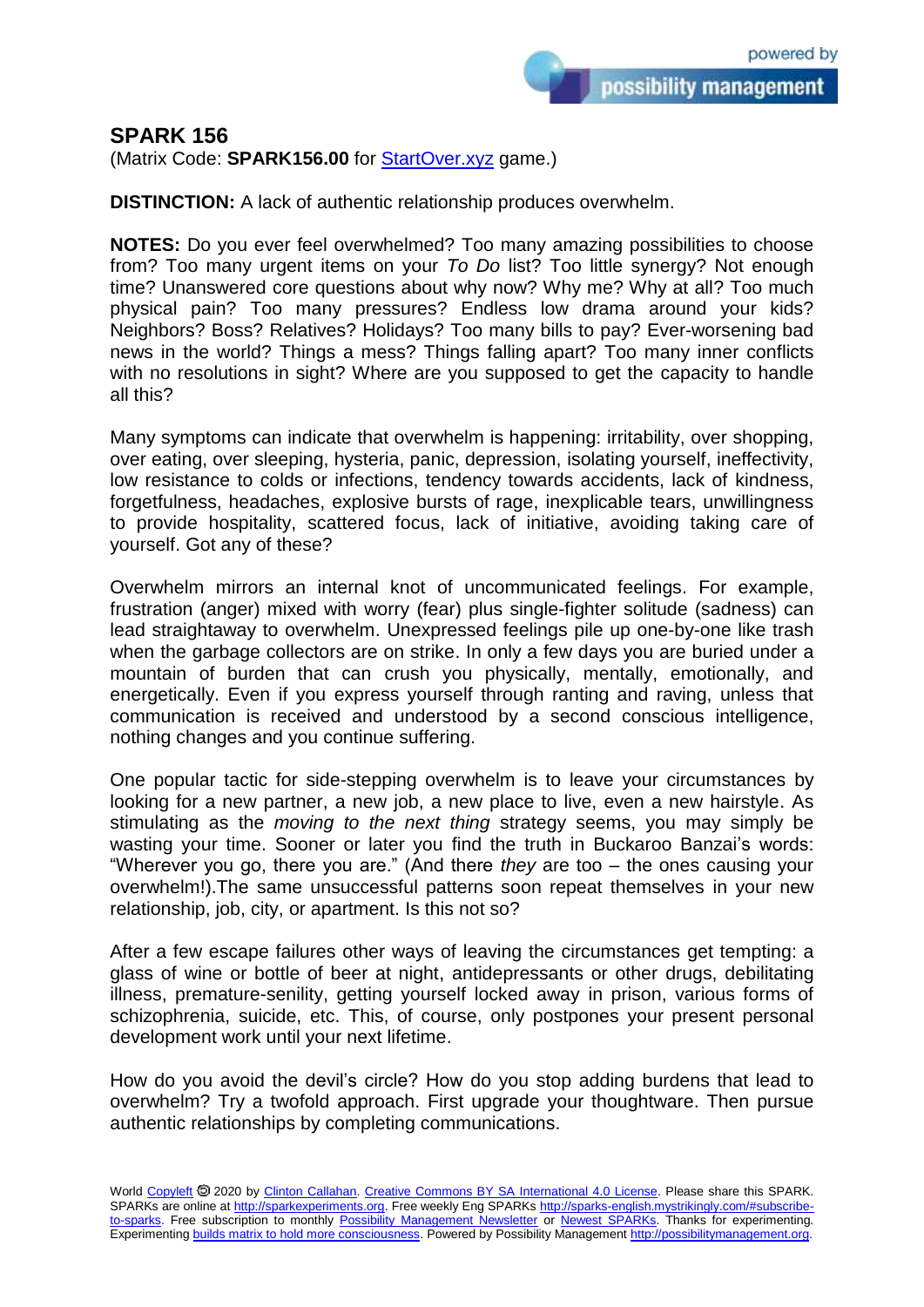## **SPARK 156**

(Matrix Code: **SPARK156.00** for **StartOver.xyz** game.)

**DISTINCTION:** A lack of authentic relationship produces overwhelm.

**NOTES:** Do you ever feel overwhelmed? Too many amazing possibilities to choose from? Too many urgent items on your *To Do* list? Too little synergy? Not enough time? Unanswered core questions about why now? Why me? Why at all? Too much physical pain? Too many pressures? Endless low drama around your kids? Neighbors? Boss? Relatives? Holidays? Too many bills to pay? Ever-worsening bad news in the world? Things a mess? Things falling apart? Too many inner conflicts with no resolutions in sight? Where are you supposed to get the capacity to handle all this?

Many symptoms can indicate that overwhelm is happening: irritability, over shopping, over eating, over sleeping, hysteria, panic, depression, isolating yourself, ineffectivity, low resistance to colds or infections, tendency towards accidents, lack of kindness, forgetfulness, headaches, explosive bursts of rage, inexplicable tears, unwillingness to provide hospitality, scattered focus, lack of initiative, avoiding taking care of yourself. Got any of these?

Overwhelm mirrors an internal knot of uncommunicated feelings. For example, frustration (anger) mixed with worry (fear) plus single-fighter solitude (sadness) can lead straightaway to overwhelm. Unexpressed feelings pile up one-by-one like trash when the garbage collectors are on strike. In only a few days you are buried under a mountain of burden that can crush you physically, mentally, emotionally, and energetically. Even if you express yourself through ranting and raving, unless that communication is received and understood by a second conscious intelligence, nothing changes and you continue suffering.

One popular tactic for side-stepping overwhelm is to leave your circumstances by looking for a new partner, a new job, a new place to live, even a new hairstyle. As stimulating as the *moving to the next thing* strategy seems, you may simply be wasting your time. Sooner or later you find the truth in Buckaroo Banzai's words: "Wherever you go, there you are." (And there *they* are too – the ones causing your overwhelm!).The same unsuccessful patterns soon repeat themselves in your new relationship, job, city, or apartment. Is this not so?

After a few escape failures other ways of leaving the circumstances get tempting: a glass of wine or bottle of beer at night, antidepressants or other drugs, debilitating illness, premature-senility, getting yourself locked away in prison, various forms of schizophrenia, suicide, etc. This, of course, only postpones your present personal development work until your next lifetime.

How do you avoid the devil's circle? How do you stop adding burdens that lead to overwhelm? Try a twofold approach. First upgrade your thoughtware. Then pursue authentic relationships by completing communications.

World [Copyleft](https://en.wikipedia.org/wiki/Copyleft) <sup>5</sup> 2020 by [Clinton Callahan.](http://clintoncallahan.mystrikingly.com/) [Creative Commons BY SA International 4.0 License.](https://creativecommons.org/licenses/by-sa/4.0/) Please share this SPARK. SPARKs are online at [http://sparkexperiments.org.](http://sparks-english.mystrikingly.com/) Free weekly Eng SPARKs [http://sparks-english.mystrikingly.com/#subscribe](http://sparks-english.mystrikingly.com/#subscribe-to-sparks)[to-sparks.](http://sparks-english.mystrikingly.com/#subscribe-to-sparks) Free subscription to monthly [Possibility Management Newsletter](https://possibilitymanagement.org/news/) or [Newest SPARKs.](https://www.clintoncallahan.org/newsletter-1) Thanks for experimenting. Experimentin[g builds matrix to hold more consciousness.](http://spaceport.mystrikingly.com/) Powered by Possibility Managemen[t http://possibilitymanagement.org.](http://possibilitymanagement.org/)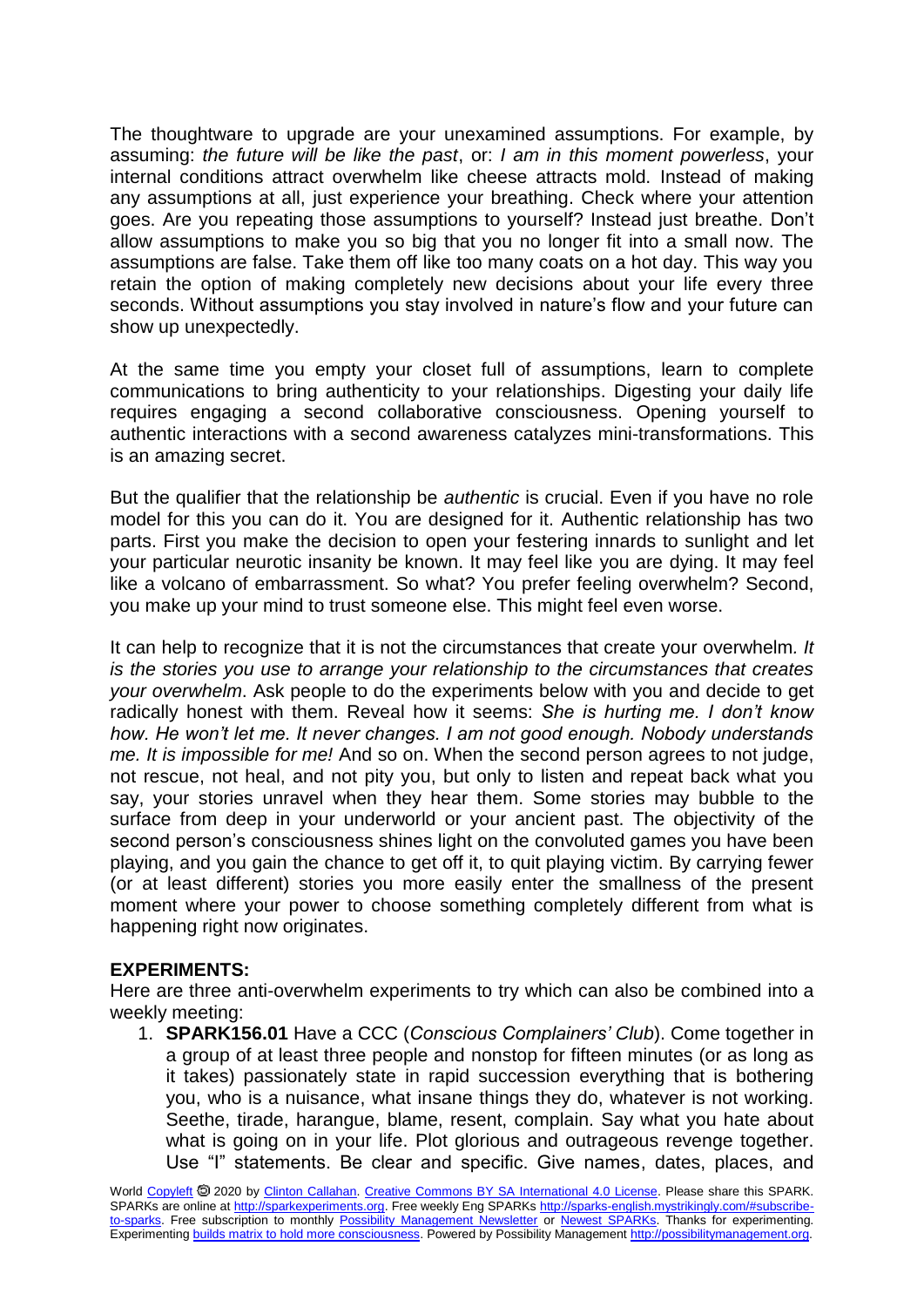The thoughtware to upgrade are your unexamined assumptions. For example, by assuming: *the future will be like the past*, or: *I am in this moment powerless*, your internal conditions attract overwhelm like cheese attracts mold. Instead of making any assumptions at all, just experience your breathing. Check where your attention goes. Are you repeating those assumptions to yourself? Instead just breathe. Don't allow assumptions to make you so big that you no longer fit into a small now. The assumptions are false. Take them off like too many coats on a hot day. This way you retain the option of making completely new decisions about your life every three seconds. Without assumptions you stay involved in nature's flow and your future can show up unexpectedly.

At the same time you empty your closet full of assumptions, learn to complete communications to bring authenticity to your relationships. Digesting your daily life requires engaging a second collaborative consciousness. Opening yourself to authentic interactions with a second awareness catalyzes mini-transformations. This is an amazing secret.

But the qualifier that the relationship be *authentic* is crucial. Even if you have no role model for this you can do it. You are designed for it. Authentic relationship has two parts. First you make the decision to open your festering innards to sunlight and let your particular neurotic insanity be known. It may feel like you are dying. It may feel like a volcano of embarrassment. So what? You prefer feeling overwhelm? Second, you make up your mind to trust someone else. This might feel even worse.

It can help to recognize that it is not the circumstances that create your overwhelm*. It is the stories you use to arrange your relationship to the circumstances that creates your overwhelm*. Ask people to do the experiments below with you and decide to get radically honest with them. Reveal how it seems: *She is hurting me. I don't know how. He won't let me. It never changes. I am not good enough. Nobody understands me. It is impossible for me!* And so on. When the second person agrees to not judge, not rescue, not heal, and not pity you, but only to listen and repeat back what you say, your stories unravel when they hear them. Some stories may bubble to the surface from deep in your underworld or your ancient past. The objectivity of the second person's consciousness shines light on the convoluted games you have been playing, and you gain the chance to get off it, to quit playing victim. By carrying fewer (or at least different) stories you more easily enter the smallness of the present moment where your power to choose something completely different from what is happening right now originates.

## **EXPERIMENTS:**

Here are three anti-overwhelm experiments to try which can also be combined into a weekly meeting:

1. **SPARK156.01** Have a CCC (*Conscious Complainers' Club*). Come together in a group of at least three people and nonstop for fifteen minutes (or as long as it takes) passionately state in rapid succession everything that is bothering you, who is a nuisance, what insane things they do, whatever is not working. Seethe, tirade, harangue, blame, resent, complain. Say what you hate about what is going on in your life. Plot glorious and outrageous revenge together. Use "I" statements. Be clear and specific. Give names, dates, places, and